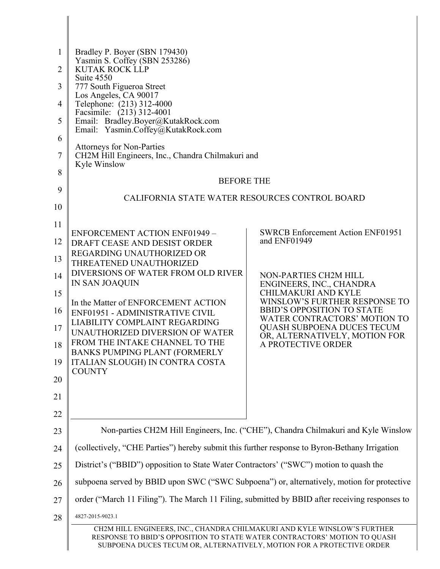| $\mathbf{1}$<br>2<br>3<br>4<br>5<br>6<br>7<br>8<br>9 | Bradley P. Boyer (SBN 179430)<br>Yasmin S. Coffey (SBN 253286)<br><b>KUTAK ROCK LLP</b><br>Suite 4550<br>777 South Figueroa Street<br>Los Angeles, CA 90017<br>Telephone: (213) 312-4000<br>Facsimile: (213) 312-4001<br>Email: Bradley.Boyer@KutakRock.com<br>Email: Yasmin.Coffey@KutakRock.com<br>Attorneys for Non-Parties<br>CH2M Hill Engineers, Inc., Chandra Chilmakuri and<br>Kyle Winslow<br><b>BEFORE THE</b> |                                                                                                                                                                                                                              |  |
|------------------------------------------------------|--------------------------------------------------------------------------------------------------------------------------------------------------------------------------------------------------------------------------------------------------------------------------------------------------------------------------------------------------------------------------------------------------------------------------|------------------------------------------------------------------------------------------------------------------------------------------------------------------------------------------------------------------------------|--|
|                                                      | CALIFORNIA STATE WATER RESOURCES CONTROL BOARD                                                                                                                                                                                                                                                                                                                                                                           |                                                                                                                                                                                                                              |  |
| 10                                                   |                                                                                                                                                                                                                                                                                                                                                                                                                          |                                                                                                                                                                                                                              |  |
| 11                                                   | <b>ENFORCEMENT ACTION ENF01949 -</b>                                                                                                                                                                                                                                                                                                                                                                                     | <b>SWRCB Enforcement Action ENF01951</b>                                                                                                                                                                                     |  |
| 12<br>13                                             | DRAFT CEASE AND DESIST ORDER<br>REGARDING UNAUTHORIZED OR<br>THREATENED UNAUTHORIZED                                                                                                                                                                                                                                                                                                                                     | and ENF01949                                                                                                                                                                                                                 |  |
| 14                                                   | DIVERSIONS OF WATER FROM OLD RIVER<br><b>IN SAN JOAQUIN</b>                                                                                                                                                                                                                                                                                                                                                              | NON-PARTIES CH2M HILL<br>ENGINEERS, INC., CHANDRA                                                                                                                                                                            |  |
| 15<br>16<br>17<br>18<br>19<br>20<br>21<br>22         | In the Matter of ENFORCEMENT ACTION<br>ENF01951 - ADMINISTRATIVE CIVIL<br>LIABILITY COMPLAINT REGARDING<br>UNAUTHORIZED DIVERSION OF WATER<br>FROM THE INTAKE CHANNEL TO THE<br><b>BANKS PUMPING PLANT (FORMERLY</b><br>ITALIAN SLOUGH) IN CONTRA COSTA<br><b>COUNTY</b>                                                                                                                                                 | <b>CHILMAKURI AND KYLE</b><br>WINSLOW'S FURTHER RESPONSE TO<br><b>BBID'S OPPOSITION TO STATE</b><br>WATER CONTRACTORS' MOTION TO<br><b>QUASH SUBPOENA DUCES TECUM</b><br>OR, ALTERNATIVELY, MOTION FOR<br>A PROTECTIVE ORDER |  |
| 23                                                   |                                                                                                                                                                                                                                                                                                                                                                                                                          | Non-parties CH2M Hill Engineers, Inc. ("CHE"), Chandra Chilmakuri and Kyle Winslow                                                                                                                                           |  |
| 24                                                   | (collectively, "CHE Parties") hereby submit this further response to Byron-Bethany Irrigation                                                                                                                                                                                                                                                                                                                            |                                                                                                                                                                                                                              |  |
| 25                                                   | District's ("BBID") opposition to State Water Contractors' ("SWC") motion to quash the                                                                                                                                                                                                                                                                                                                                   |                                                                                                                                                                                                                              |  |
| 26                                                   | subpoena served by BBID upon SWC ("SWC Subpoena") or, alternatively, motion for protective                                                                                                                                                                                                                                                                                                                               |                                                                                                                                                                                                                              |  |
| 27                                                   | order ("March 11 Filing"). The March 11 Filing, submitted by BBID after receiving responses to                                                                                                                                                                                                                                                                                                                           |                                                                                                                                                                                                                              |  |
| 28                                                   | 4827-2015-9023.1                                                                                                                                                                                                                                                                                                                                                                                                         |                                                                                                                                                                                                                              |  |
|                                                      | CH2M HILL ENGINEERS, INC., CHANDRA CHILMAKURI AND KYLE WINSLOW'S FURTHER<br>RESPONSE TO BBID'S OPPOSITION TO STATE WATER CONTRACTORS' MOTION TO QUASH<br>SUBPOENA DUCES TECUM OR, ALTERNATIVELY, MOTION FOR A PROTECTIVE ORDER                                                                                                                                                                                           |                                                                                                                                                                                                                              |  |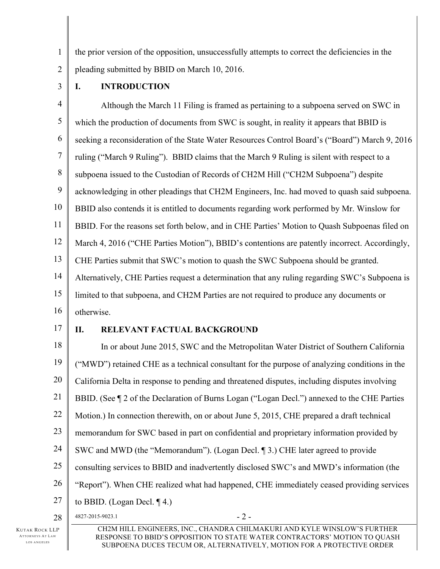1 2 the prior version of the opposition, unsuccessfully attempts to correct the deficiencies in the pleading submitted by BBID on March 10, 2016.

3

## **I. INTRODUCTION**

4 5 6 7 8 9 10 11 12 13 14 15 16 Although the March 11 Filing is framed as pertaining to a subpoena served on SWC in which the production of documents from SWC is sought, in reality it appears that BBID is seeking a reconsideration of the State Water Resources Control Board's ("Board") March 9, 2016 ruling ("March 9 Ruling"). BBID claims that the March 9 Ruling is silent with respect to a subpoena issued to the Custodian of Records of CH2M Hill ("CH2M Subpoena") despite acknowledging in other pleadings that CH2M Engineers, Inc. had moved to quash said subpoena. BBID also contends it is entitled to documents regarding work performed by Mr. Winslow for BBID. For the reasons set forth below, and in CHE Parties' Motion to Quash Subpoenas filed on March 4, 2016 ("CHE Parties Motion"), BBID's contentions are patently incorrect. Accordingly, CHE Parties submit that SWC's motion to quash the SWC Subpoena should be granted. Alternatively, CHE Parties request a determination that any ruling regarding SWC's Subpoena is limited to that subpoena, and CH2M Parties are not required to produce any documents or otherwise.

17

## **II. RELEVANT FACTUAL BACKGROUND**

18 19 20 21 22 23 24 25 26 27 In or about June 2015, SWC and the Metropolitan Water District of Southern California ("MWD") retained CHE as a technical consultant for the purpose of analyzing conditions in the California Delta in response to pending and threatened disputes, including disputes involving BBID. (See  $\P$  2 of the Declaration of Burns Logan ("Logan Decl.") annexed to the CHE Parties Motion.) In connection therewith, on or about June 5, 2015, CHE prepared a draft technical memorandum for SWC based in part on confidential and proprietary information provided by SWC and MWD (the "Memorandum"). (Logan Decl. ¶ 3.) CHE later agreed to provide consulting services to BBID and inadvertently disclosed SWC's and MWD's information (the "Report"). When CHE realized what had happened, CHE immediately ceased providing services to BBID. (Logan Decl.  $\P$ 4.)

 $28 \parallel 4827 - 2015 - 9023.1$  - 2 -

KUTAK ROCK LLP ATTORNEYS AT LAW LOS ANGELES

CH2M HILL ENGINEERS, INC., CHANDRA CHILMAKURI AND KYLE WINSLOW'S FURTHER RESPONSE TO BBID'S OPPOSITION TO STATE WATER CONTRACTORS' MOTION TO QUASH SUBPOENA DUCES TECUM OR, ALTERNATIVELY, MOTION FOR A PROTECTIVE ORDER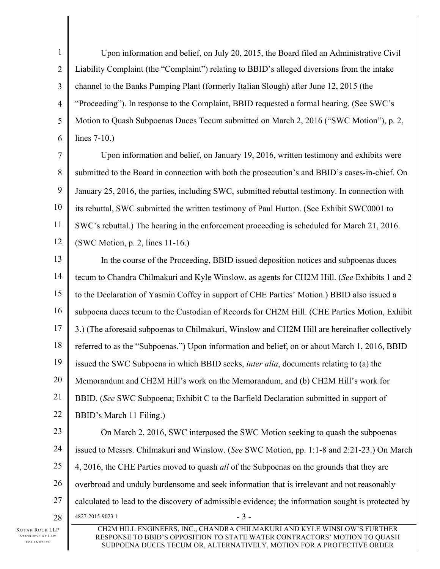1 2 3 4 5 6 Upon information and belief, on July 20, 2015, the Board filed an Administrative Civil Liability Complaint (the "Complaint") relating to BBID's alleged diversions from the intake channel to the Banks Pumping Plant (formerly Italian Slough) after June 12, 2015 (the "Proceeding"). In response to the Complaint, BBID requested a formal hearing. (See SWC's Motion to Quash Subpoenas Duces Tecum submitted on March 2, 2016 ("SWC Motion"), p. 2, lines 7-10.)

7 8 9 10 11 12 Upon information and belief, on January 19, 2016, written testimony and exhibits were submitted to the Board in connection with both the prosecution's and BBID's cases-in-chief. On January 25, 2016, the parties, including SWC, submitted rebuttal testimony. In connection with its rebuttal, SWC submitted the written testimony of Paul Hutton. (See Exhibit SWC0001 to SWC's rebuttal.) The hearing in the enforcement proceeding is scheduled for March 21, 2016. (SWC Motion, p. 2, lines 11-16.)

13 14 15 16 17 18 19 20 21 22 23 In the course of the Proceeding, BBID issued deposition notices and subpoenas duces tecum to Chandra Chilmakuri and Kyle Winslow, as agents for CH2M Hill. (*See* Exhibits 1 and 2 to the Declaration of Yasmin Coffey in support of CHE Parties' Motion.) BBID also issued a subpoena duces tecum to the Custodian of Records for CH2M Hill. (CHE Parties Motion, Exhibit 3.) (The aforesaid subpoenas to Chilmakuri, Winslow and CH2M Hill are hereinafter collectively referred to as the "Subpoenas.") Upon information and belief, on or about March 1, 2016, BBID issued the SWC Subpoena in which BBID seeks, *inter alia*, documents relating to (a) the Memorandum and CH2M Hill's work on the Memorandum, and (b) CH2M Hill's work for BBID. (*See* SWC Subpoena; Exhibit C to the Barfield Declaration submitted in support of BBID's March 11 Filing.) On March 2, 2016, SWC interposed the SWC Motion seeking to quash the subpoenas

24 25 26 27  $28 \parallel 4827 - 2015 - 9023.1$  - 3 issued to Messrs. Chilmakuri and Winslow. (*See* SWC Motion, pp. 1:1-8 and 2:21-23.) On March 4, 2016, the CHE Parties moved to quash *all* of the Subpoenas on the grounds that they are overbroad and unduly burdensome and seek information that is irrelevant and not reasonably calculated to lead to the discovery of admissible evidence; the information sought is protected by

KUTAK ROCK LLP ATTORNEYS AT LAW LOS ANGELES

CH2M HILL ENGINEERS, INC., CHANDRA CHILMAKURI AND KYLE WINSLOW'S FURTHER RESPONSE TO BBID'S OPPOSITION TO STATE WATER CONTRACTORS' MOTION TO QUASH SUBPOENA DUCES TECUM OR, ALTERNATIVELY, MOTION FOR A PROTECTIVE ORDER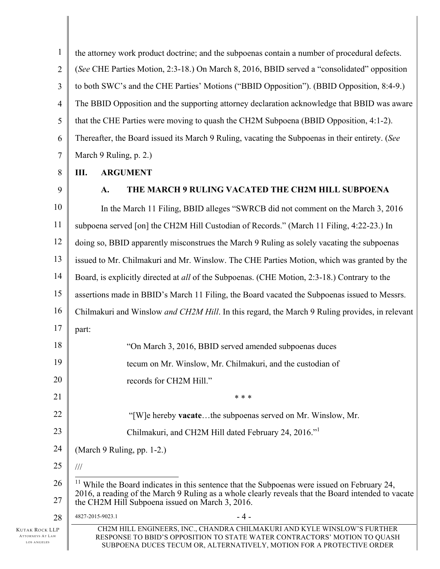| $\mathbf{1}$   | the attorney work product doctrine; and the subpoenas contain a number of procedural defects.       |  |
|----------------|-----------------------------------------------------------------------------------------------------|--|
| $\overline{2}$ | (See CHE Parties Motion, 2:3-18.) On March 8, 2016, BBID served a "consolidated" opposition         |  |
| 3              | to both SWC's and the CHE Parties' Motions ("BBID Opposition"). (BBID Opposition, 8:4-9.)           |  |
| $\overline{4}$ | The BBID Opposition and the supporting attorney declaration acknowledge that BBID was aware         |  |
| 5              | that the CHE Parties were moving to quash the CH2M Subpoena (BBID Opposition, 4:1-2).               |  |
| 6              | Thereafter, the Board issued its March 9 Ruling, vacating the Subpoenas in their entirety. (See     |  |
| 7              | March 9 Ruling, p. 2.)                                                                              |  |
| 8              | Ш.<br><b>ARGUMENT</b>                                                                               |  |
| 9              | THE MARCH 9 RULING VACATED THE CH2M HILL SUBPOENA<br>A.                                             |  |
| 10             | In the March 11 Filing, BBID alleges "SWRCB did not comment on the March 3, 2016                    |  |
| 11             | subpoena served [on] the CH2M Hill Custodian of Records." (March 11 Filing, 4:22-23.) In            |  |
| 12             | doing so, BBID apparently misconstrues the March 9 Ruling as solely vacating the subpoenas          |  |
| 13             | issued to Mr. Chilmakuri and Mr. Winslow. The CHE Parties Motion, which was granted by the          |  |
| 14             | Board, is explicitly directed at <i>all</i> of the Subpoenas. (CHE Motion, 2:3-18.) Contrary to the |  |
| 15             | assertions made in BBID's March 11 Filing, the Board vacated the Subpoenas issued to Messrs.        |  |

16 17 Chilmakuri and Winslow *and CH2M Hill*. In this regard, the March 9 Ruling provides, in relevant

\* \* \*

| "On March 3, 2016, BBID served amended subpoenas duces |
|--------------------------------------------------------|

records for CH2M Hill."

tecum on Mr. Winslow, Mr. Chilmakuri, and the custodian of

22 23 24 25 "[W]e hereby **vacate**…the subpoenas served on Mr. Winslow, Mr. Chilmakuri, and CH2M Hill dated February 24, 2016."<sup>1</sup> (March 9 Ruling, pp. 1-2.) ///

18

part:

19

20

21

26 27  $11$  While the Board indicates in this sentence that the Subpoenas were issued on February 24, 2016, a reading of the March 9 Ruling as a whole clearly reveals that the Board intended to vacate the CH2M Hill Subpoena issued on March 3, 2016.

 $28 \parallel 4827 - 2015 - 9023.1$  - 4 -

CH2M HILL ENGINEERS, INC., CHANDRA CHILMAKURI AND KYLE WINSLOW'S FURTHER RESPONSE TO BBID'S OPPOSITION TO STATE WATER CONTRACTORS' MOTION TO QUASH SUBPOENA DUCES TECUM OR, ALTERNATIVELY, MOTION FOR A PROTECTIVE ORDER

KUTAK ROCK LLP ATTORNEYS AT L A W LOS ANGELES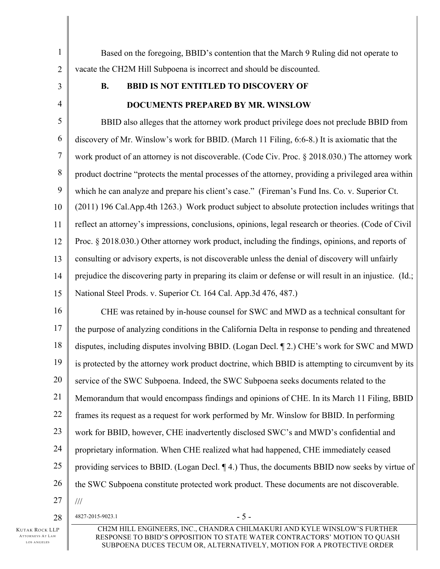Based on the foregoing, BBID's contention that the March 9 Ruling did not operate to vacate the CH2M Hill Subpoena is incorrect and should be discounted.

1

2

3

4

## **B. BBID IS NOT ENTITLED TO DISCOVERY OF**

## **DOCUMENTS PREPARED BY MR. WINSLOW**

5 6 7 8 9 10 11 12 13 14 15 BBID also alleges that the attorney work product privilege does not preclude BBID from discovery of Mr. Winslow's work for BBID. (March 11 Filing, 6:6-8.) It is axiomatic that the work product of an attorney is not discoverable. (Code Civ. Proc. § 2018.030.) The attorney work product doctrine "protects the mental processes of the attorney, providing a privileged area within which he can analyze and prepare his client's case." (Fireman's Fund Ins. Co. v. Superior Ct. (2011) 196 Cal.App.4th 1263.) Work product subject to absolute protection includes writings that reflect an attorney's impressions, conclusions, opinions, legal research or theories. (Code of Civil Proc. § 2018.030.) Other attorney work product, including the findings, opinions, and reports of consulting or advisory experts, is not discoverable unless the denial of discovery will unfairly prejudice the discovering party in preparing its claim or defense or will result in an injustice. (Id.; National Steel Prods. v. Superior Ct. 164 Cal. App.3d 476, 487.)

16 17 18 19 20 21 22 23 24 25 26 27 CHE was retained by in-house counsel for SWC and MWD as a technical consultant for the purpose of analyzing conditions in the California Delta in response to pending and threatened disputes, including disputes involving BBID. (Logan Decl. ¶ 2.) CHE's work for SWC and MWD is protected by the attorney work product doctrine, which BBID is attempting to circumvent by its service of the SWC Subpoena. Indeed, the SWC Subpoena seeks documents related to the Memorandum that would encompass findings and opinions of CHE. In its March 11 Filing, BBID frames its request as a request for work performed by Mr. Winslow for BBID. In performing work for BBID, however, CHE inadvertently disclosed SWC's and MWD's confidential and proprietary information. When CHE realized what had happened, CHE immediately ceased providing services to BBID. (Logan Decl. ¶ 4.) Thus, the documents BBID now seeks by virtue of the SWC Subpoena constitute protected work product. These documents are not discoverable. ///

 $28 \parallel 4827 - 2015 - 9023.1$  - 5 -

KUTAK ROCK LLP ATTORNEYS AT LAW LOS ANGELES

CH2M HILL ENGINEERS, INC., CHANDRA CHILMAKURI AND KYLE WINSLOW'S FURTHER RESPONSE TO BBID'S OPPOSITION TO STATE WATER CONTRACTORS' MOTION TO QUASH SUBPOENA DUCES TECUM OR, ALTERNATIVELY, MOTION FOR A PROTECTIVE ORDER